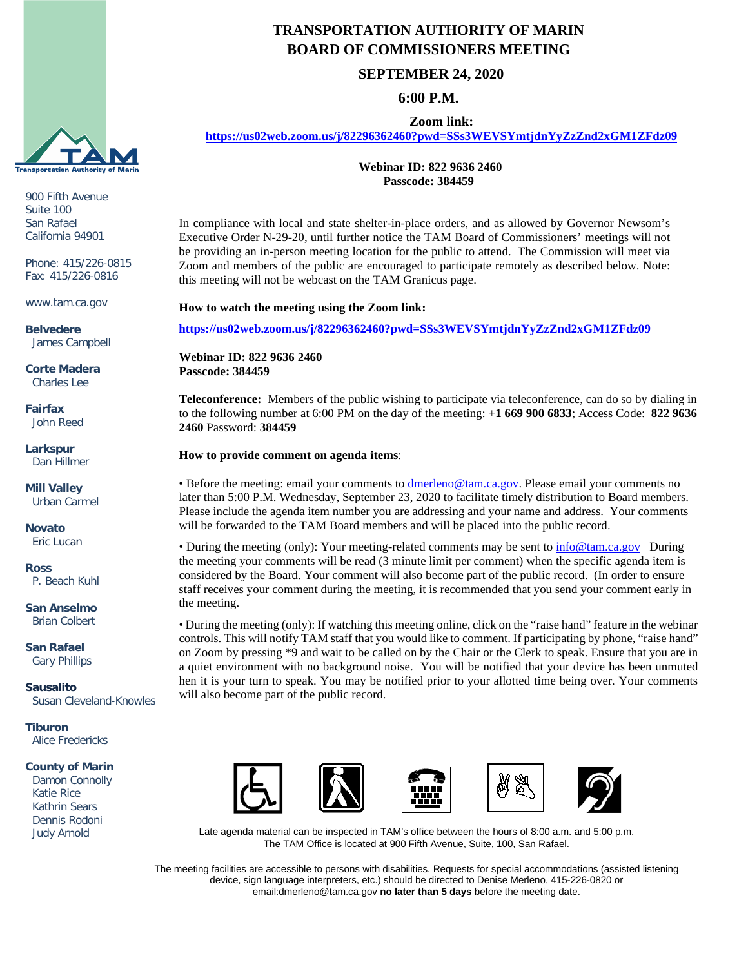

900 Fifth Avenue Suite 100 San Rafael California 94901

Phone: 415/226-0815 Fax: 415/226-0816

www.tam.ca.gov

**Belvedere** James Campbell

**Corte Madera** Charles Lee

**Fairfax** John Reed

**Larkspur** Dan Hillmer

**Mill Valley** Urban Carmel

**Novato** Eric Lucan

**Ross** P. Beach Kuhl

**San Anselmo** Brian Colbert

**San Rafael** Gary Phillips

**Sausalito** Susan Cleveland-Knowles

**Tiburon** Alice Fredericks

#### **County of Marin**

 Damon Connolly Katie Rice Kathrin Sears Dennis Rodoni Judy Arnold

# **TRANSPORTATION AUTHORITY OF MARIN BOARD OF COMMISSIONERS MEETING**

## **SEPTEMBER 24, 2020**

### **6:00 P.M.**

**Zoom link:**

**<https://us02web.zoom.us/j/82296362460?pwd=SSs3WEVSYmtjdnYyZzZnd2xGM1ZFdz09>**

**Webinar ID: 822 9636 2460 Passcode: 384459**

In compliance with local and state shelter-in-place orders, and as allowed by Governor Newsom's Executive Order N-29-20, until further notice the TAM Board of Commissioners' meetings will not be providing an in-person meeting location for the public to attend. The Commission will meet via Zoom and members of the public are encouraged to participate remotely as described below. Note: this meeting will not be webcast on the TAM Granicus page.

**How to watch the meeting using the Zoom link:**

**<https://us02web.zoom.us/j/82296362460?pwd=SSs3WEVSYmtjdnYyZzZnd2xGM1ZFdz09>**

**Webinar ID: 822 9636 2460 Passcode: 384459**

**Teleconference:** Members of the public wishing to participate via teleconference, can do so by dialing in to the following number at 6:00 PM on the day of the meeting: +**1 669 900 6833**; Access Code: **822 9636 2460** Password: **384459**

#### **How to provide comment on agenda items**:

• Before the meeting: email your comments to *dmerleno@tam.ca.gov*. Please email your comments no later than 5:00 P.M. Wednesday, September 23, 2020 to facilitate timely distribution to Board members. Please include the agenda item number you are addressing and your name and address. Your comments will be forwarded to the TAM Board members and will be placed into the public record.

• During the meeting (only): Your meeting-related comments may be sent to [info@tam.ca.gov](mailto:info@tam.ca.gov) During the meeting your comments will be read (3 minute limit per comment) when the specific agenda item is considered by the Board. Your comment will also become part of the public record. (In order to ensure staff receives your comment during the meeting, it is recommended that you send your comment early in the meeting.

• During the meeting (only): If watching this meeting online, click on the "raise hand" feature in the webinar controls. This will notify TAM staff that you would like to comment. If participating by phone, "raise hand" on Zoom by pressing \*9 and wait to be called on by the Chair or the Clerk to speak. Ensure that you are in a quiet environment with no background noise. You will be notified that your device has been unmuted hen it is your turn to speak. You may be notified prior to your allotted time being over. Your comments will also become part of the public record.



Late agenda material can be inspected in TAM's office between the hours of 8:00 a.m. and 5:00 p.m. The TAM Office is located at 900 Fifth Avenue, Suite, 100, San Rafael.

The meeting facilities are accessible to persons with disabilities. Requests for special accommodations (assisted listening device, sign language interpreters, etc.) should be directed to Denise Merleno, 415-226-0820 or email:dmerleno@tam.ca.gov **no later than 5 days** before the meeting date.